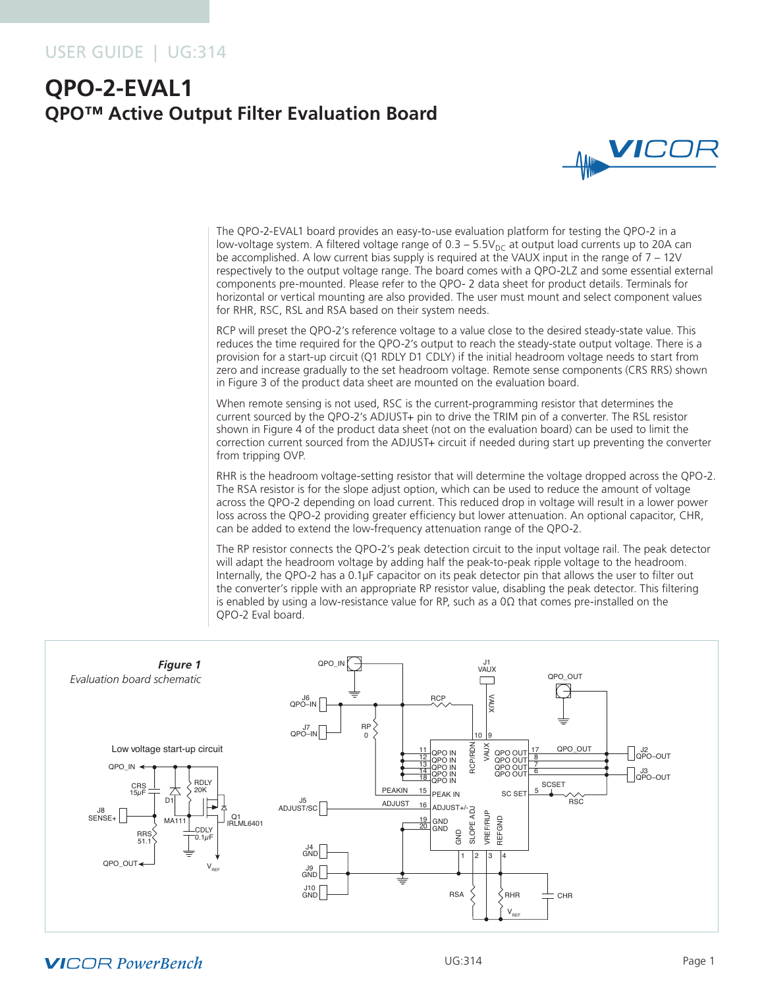### USER GUIDE | UG:314

# **QPO-2-EVAL1 QPO™ Active Output Filter Evaluation Board**



The QPO-2-EVAL1 board provides an easy-to-use evaluation platform for testing the QPO-2 in a low-voltage system. A filtered voltage range of  $0.3 - 5.5V_{DC}$  at output load currents up to 20A can be accomplished. A low current bias supply is required at the VAUX input in the range of 7 – 12V respectively to the output voltage range. The board comes with a QPO-2LZ and some essential external components pre-mounted. Please refer to the QPO- 2 data sheet for product details. Terminals for horizontal or vertical mounting are also provided. The user must mount and select component values for RHR, RSC, RSL and RSA based on their system needs.

RCP will preset the QPO-2's reference voltage to a value close to the desired steady-state value. This reduces the time required for the QPO-2's output to reach the steady-state output voltage. There is a provision for a start-up circuit (Q1 RDLY D1 CDLY) if the initial headroom voltage needs to start from zero and increase gradually to the set headroom voltage. Remote sense components (CRS RRS) shown in Figure 3 of the product data sheet are mounted on the evaluation board.

When remote sensing is not used, RSC is the current-programming resistor that determines the current sourced by the QPO-2's ADJUST+ pin to drive the TRIM pin of a converter. The RSL resistor shown in Figure 4 of the product data sheet (not on the evaluation board) can be used to limit the correction current sourced from the ADJUST+ circuit if needed during start up preventing the converter from tripping OVP.

RHR is the headroom voltage-setting resistor that will determine the voltage dropped across the QPO-2. The RSA resistor is for the slope adjust option, which can be used to reduce the amount of voltage across the QPO-2 depending on load current. This reduced drop in voltage will result in a lower power loss across the QPO-2 providing greater efficiency but lower attenuation. An optional capacitor, CHR, can be added to extend the low-frequency attenuation range of the QPO-2.

The RP resistor connects the QPO-2's peak detection circuit to the input voltage rail. The peak detector will adapt the headroom voltage by adding half the peak-to-peak ripple voltage to the headroom. Internally, the QPO-2 has a 0.1µF capacitor on its peak detector pin that allows the user to filter out the converter's ripple with an appropriate RP resistor value, disabling the peak detector. This filtering is enabled by using a low-resistance value for RP, such as a  $0\Omega$  that comes pre-installed on the QPO-2 Eval board.



### **VICOR PowerBench**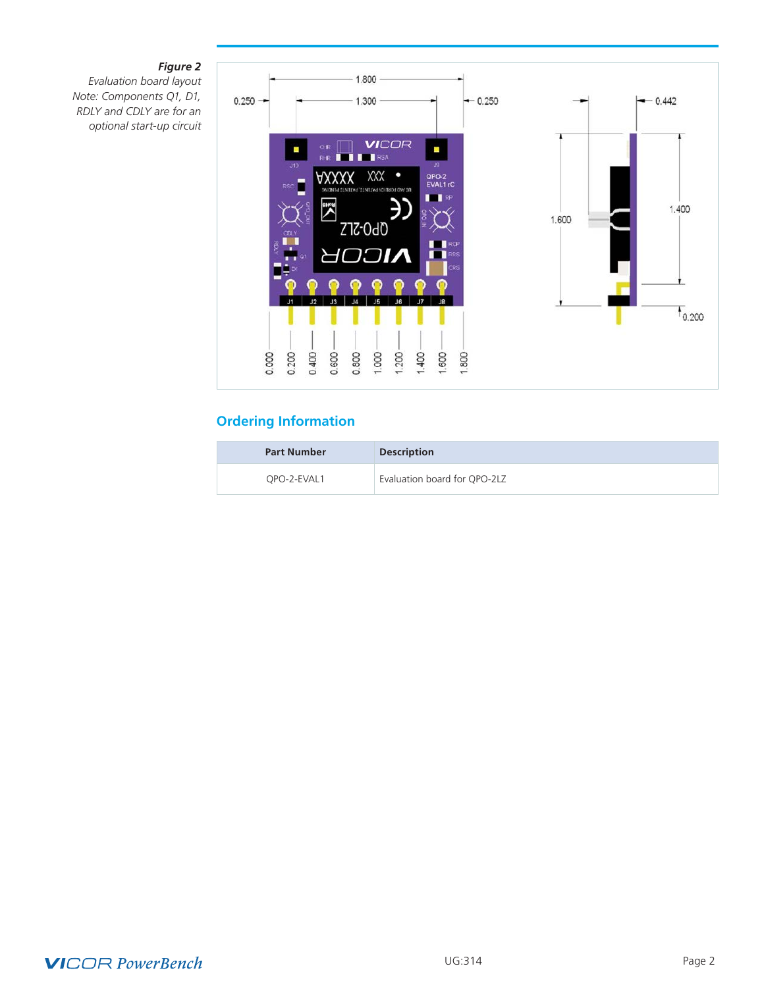### *Figure 2*

*Evaluation board layout Note: Components Q1, D1, RDLY and CDLY are for an optional start-up circuit* 



## **Ordering Information**

| <b>Part Number</b> | <b>Description</b>           |
|--------------------|------------------------------|
| OPO-2-EVAL1        | Evaluation board for QPO-2LZ |